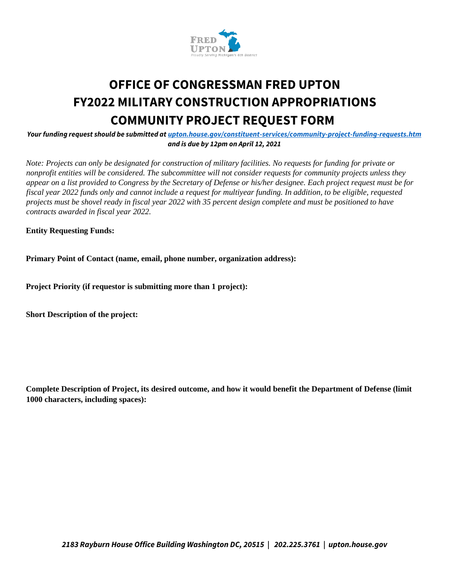

## **OFFICE OF CONGRESSMAN FRED UPTON FY2022 MILITARY CONSTRUCTION APPROPRIATIONS COMMUNITY PROJECT REQUEST FORM**

*Your funding request should be submitted at upton.house.gov/constituent-services/community-project-funding-requests.htm and is due by 12pm on April 12, 2021*

*Note: Projects can only be designated for construction of military facilities. No requests for funding for private or nonprofit entities will be considered. The subcommittee will not consider requests for community projects unless they appear on a list provided to Congress by the Secretary of Defense or his/her designee. Each project request must be for fiscal year 2022 funds only and cannot include a request for multiyear funding. In addition, to be eligible, requested projects must be shovel ready in fiscal year 2022 with 35 percent design complete and must be positioned to have contracts awarded in fiscal year 2022.* 

**Entity Requesting Funds:** 

**Primary Point of Contact (name, email, phone number, organization address):** 

**Project Priority (if requestor is submitting more than 1 project):** 

**Short Description of the project:** 

**Complete Description of Project, its desired outcome, and how it would benefit the Department of Defense (limit 1000 characters, including spaces):**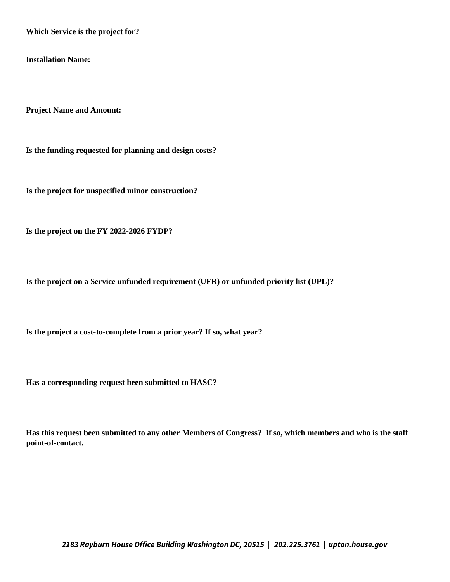**Which Service is the project for?** 

**Installation Name:** 

**Project Name and Amount:** 

**Is the funding requested for planning and design costs?** 

**Is the project for unspecified minor construction?** 

**Is the project on the FY 2022-2026 FYDP?** 

**Is the project on a Service unfunded requirement (UFR) or unfunded priority list (UPL)?** 

**Is the project a cost-to-complete from a prior year? If so, what year?** 

**Has a corresponding request been submitted to HASC?** 

**Has this request been submitted to any other Members of Congress? If so, which members and who is the staff point-of-contact.**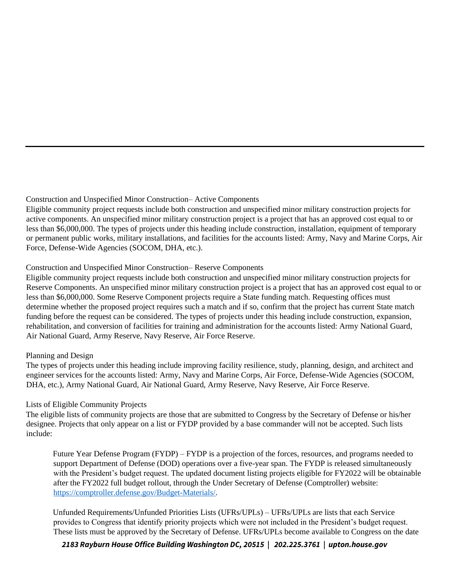Construction and Unspecified Minor Construction– Active Components

Eligible community project requests include both construction and unspecified minor military construction projects for active components. An unspecified minor military construction project is a project that has an approved cost equal to or less than \$6,000,000. The types of projects under this heading include construction, installation, equipment of temporary or permanent public works, military installations, and facilities for the accounts listed: Army, Navy and Marine Corps, Air Force, Defense-Wide Agencies (SOCOM, DHA, etc.).

## Construction and Unspecified Minor Construction– Reserve Components

Eligible community project requests include both construction and unspecified minor military construction projects for Reserve Components. An unspecified minor military construction project is a project that has an approved cost equal to or less than \$6,000,000. Some Reserve Component projects require a State funding match. Requesting offices must determine whether the proposed project requires such a match and if so, confirm that the project has current State match funding before the request can be considered. The types of projects under this heading include construction, expansion, rehabilitation, and conversion of facilities for training and administration for the accounts listed: Army National Guard, Air National Guard, Army Reserve, Navy Reserve, Air Force Reserve.

## Planning and Design

The types of projects under this heading include improving facility resilience, study, planning, design, and architect and engineer services for the accounts listed: Army, Navy and Marine Corps, Air Force, Defense-Wide Agencies (SOCOM, DHA, etc.), Army National Guard, Air National Guard, Army Reserve, Navy Reserve, Air Force Reserve.

## Lists of Eligible Community Projects

The eligible lists of community projects are those that are submitted to Congress by the Secretary of Defense or his/her designee. Projects that only appear on a list or FYDP provided by a base commander will not be accepted. Such lists include:

Future Year Defense Program (FYDP) – FYDP is a projection of the forces, resources, and programs needed to support Department of Defense (DOD) operations over a five-year span. The FYDP is released simultaneously with the President's budget request. The updated document listing projects eligible for FY2022 will be obtainable after the FY2022 full budget rollout, through the Under Secretary of Defense (Comptroller) website: https://comptroller.defense.gov/Budget-Materials/.

Unfunded Requirements/Unfunded Priorities Lists (UFRs/UPLs) – UFRs/UPLs are lists that each Service provides to Congress that identify priority projects which were not included in the President's budget request. These lists must be approved by the Secretary of Defense. UFRs/UPLs become available to Congress on the date

*2183 Rayburn House Office Building Washington DC, 20515 | 202.225.3761 | upton.house.gov*